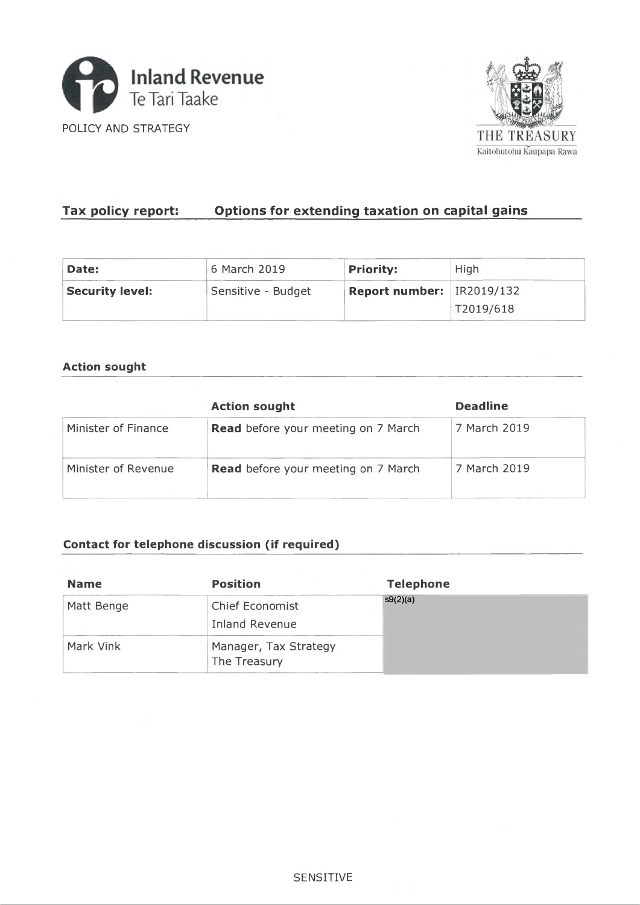



# Tax policy report: **Options for extending taxation on capital gains**

| Date:                  | 6 March 2019       | <b>Priority:</b>          | High      |  |
|------------------------|--------------------|---------------------------|-----------|--|
| <b>Security level:</b> | Sensitive - Budget | Report number: IR2019/132 |           |  |
|                        |                    |                           | T2019/618 |  |

### **Action sought**

|                     | <b>Action sought</b>                       | <b>Deadline</b> |
|---------------------|--------------------------------------------|-----------------|
| Minister of Finance | <b>Read</b> before your meeting on 7 March | 7 March 2019    |
| Minister of Revenue | <b>Read</b> before your meeting on 7 March | 7 March 2019    |

## **Contact for telephone discussion (if required)**

| <b>Name</b> | <b>Position</b>                                 | <b>Telephone</b> |
|-------------|-------------------------------------------------|------------------|
| Matt Benge  | <b>Chief Economist</b><br><b>Inland Revenue</b> | s9(2)(a)         |
| Mark Vink   | Manager, Tax Strategy<br>The Treasury           |                  |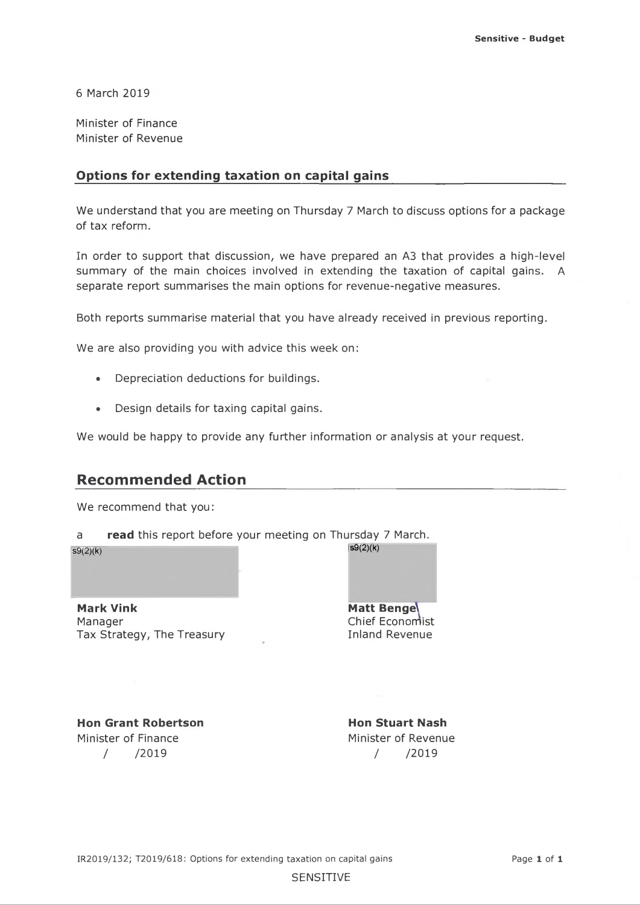6 March 2019

Minister of Finance Minister of Revenue

### **Options for extending taxation on capital gains\_\_\_\_\_\_\_\_\_\_\_\_\_\_\_\_\_\_\_\_\_\_\_\_\_\_\_**

We understand that you are meeting on Thursday 7 March to discuss options for a package of tax reform.

In order to support that discussion, we have prepared an A3 that provides a high-level summary of the main choices involved in extending the taxation of capital gains. A separate report summarises the main options for revenue-negative measures.

Both reports summarise material that you have already received in previous reporting.

We are also providing you with advice this week on:

- Depreciation deductions for buildings.
- Design details for taxing capital gains.

We would be happy to provide any further information or analysis at your request.

## **Recommended Action**

We recommend that you:

a **read** this report before your meeting on Thursday 7 March.

**s9(2)(k)**

**Mark Vink** Manager Tax Strategy, The Treasury **Matt Bengel** Chief Economist Inland Revenue

**s9(2)(k)**

**Hon Grant Robertson** Minister of Finance / /2019

**Hon Stuart Nash** Minister of Revenue / /2019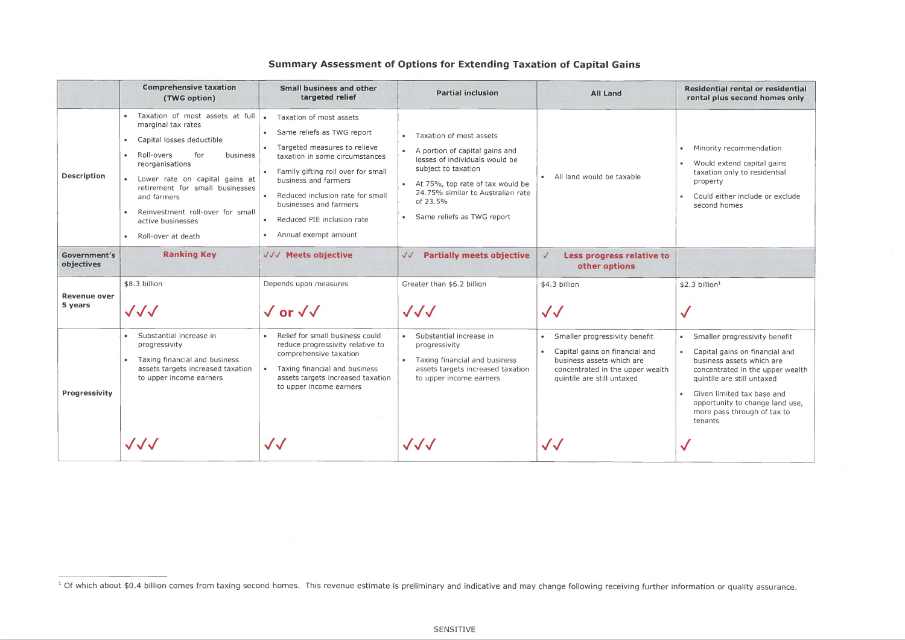# **Summary Assessment of Options for Extending Taxation of Capital Gains**

|                                | <b>Comprehensive taxation</b><br>(TWG option)                                                                                                                                                                                                                                                                          | <b>Small business and other</b><br>targeted relief                                                                                                                                                                                                                                                                     | <b>Partial inclusion</b>                                                                                                                                                                                                                                          | <b>All Land</b>                                                                                                                                                             | Residential rental or residential<br>rental plus second homes only                                                                                                                                                                                                                                    |
|--------------------------------|------------------------------------------------------------------------------------------------------------------------------------------------------------------------------------------------------------------------------------------------------------------------------------------------------------------------|------------------------------------------------------------------------------------------------------------------------------------------------------------------------------------------------------------------------------------------------------------------------------------------------------------------------|-------------------------------------------------------------------------------------------------------------------------------------------------------------------------------------------------------------------------------------------------------------------|-----------------------------------------------------------------------------------------------------------------------------------------------------------------------------|-------------------------------------------------------------------------------------------------------------------------------------------------------------------------------------------------------------------------------------------------------------------------------------------------------|
| <b>Description</b>             | Taxation of most assets at full<br>marginal tax rates<br>Capital losses deductible<br>Roll-overs<br>for<br>business<br>reorganisations<br>Lower rate on capital gains at<br>retirement for small businesses<br>and farmers<br>Reinvestment roll-over for small<br>active businesses<br>Roll-over at death<br>$\bullet$ | Taxation of most assets<br>Same reliefs as TWG report<br>Targeted measures to relieve<br>taxation in some circumstances<br>Family gifting roll over for small<br>business and farmers<br>Reduced inclusion rate for small<br>businesses and farmers<br>Reduced PIE inclusion rate<br>$\bullet$<br>Annual exempt amount | Taxation of most assets<br>A portion of capital gains and<br>$\bullet$<br>losses of individuals would be<br>subject to taxation<br>• At 75%, top rate of tax would be<br>24.75% similar to Australian rate<br>of 23.5%<br>Same reliefs as TWG report<br>$\bullet$ | All land would be taxable                                                                                                                                                   | Minority recommendation<br>$\bullet$<br>Would extend capital gains<br>$\bullet$<br>taxation only to residential<br>property<br>Could either include or exclude<br>second homes                                                                                                                        |
| Government's<br>objectives     | <b>Ranking Key</b>                                                                                                                                                                                                                                                                                                     | √√√ Meets objective                                                                                                                                                                                                                                                                                                    | <b>Partially meets objective</b><br>$\sqrt{\sqrt{2}}$                                                                                                                                                                                                             | Less progress relative to<br>other options                                                                                                                                  |                                                                                                                                                                                                                                                                                                       |
| <b>Revenue over</b><br>5 years | \$8.3 billion<br>$\sqrt{\sqrt{2}}$                                                                                                                                                                                                                                                                                     | Depends upon measures<br>$\sqrt{or}$ $\sqrt{v}$                                                                                                                                                                                                                                                                        | Greater than \$6.2 billion<br>JJJ                                                                                                                                                                                                                                 | \$4.3 billion<br>$\sqrt{\sqrt{2}}$                                                                                                                                          | \$2.3 billion <sup>1</sup><br>$\checkmark$                                                                                                                                                                                                                                                            |
| Progressivity                  | Substantial increase in<br>progressivity<br>Taxing financial and business<br>assets targets increased taxation<br>to upper income earners                                                                                                                                                                              | Relief for small business could<br>reduce progressivity relative to<br>comprehensive taxation<br>Taxing financial and business<br>assets targets increased taxation<br>to upper income earners                                                                                                                         | Substantial increase in<br>$\bullet$<br>progressivity<br>Taxing financial and business<br>$\bullet$<br>assets targets increased taxation<br>to upper income earners                                                                                               | Smaller progressivity benefit<br>Capital gains on financial and<br>$\bullet$<br>business assets which are<br>concentrated in the upper wealth<br>quintile are still untaxed | Smaller progressivity benefit<br>Capital gains on financial and<br>$\bullet$<br>business assets which are<br>concentrated in the upper wealth<br>quintile are still untaxed<br>Given limited tax base and<br>$\bullet$ .<br>opportunity to change land use,<br>more pass through of tax to<br>tenants |
|                                | $\sqrt{\sqrt{2}}$                                                                                                                                                                                                                                                                                                      | $\sqrt{\sqrt{\ }}$                                                                                                                                                                                                                                                                                                     | $\sqrt{\sqrt{2}}$                                                                                                                                                                                                                                                 | $\sqrt{\sqrt{\ }}$                                                                                                                                                          | $\checkmark$                                                                                                                                                                                                                                                                                          |



<sup>&</sup>lt;sup>1</sup> Of which about \$0.4 billion comes from taxing second homes. This revenue estimate is preliminary and indicative and may change following receiving further information or quality assurance.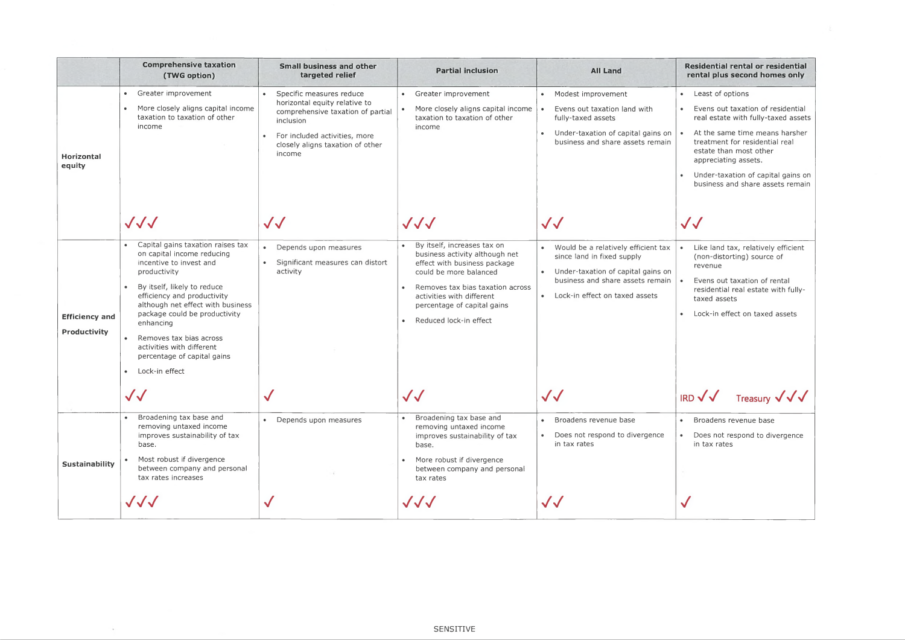Evens out taxation of residential real estate with fully-taxed assets

- At the same time means harsher treatment for residential real estate than most other appreciating assets.
- Under-taxation of capital gains on business and share assets remain

- Like land tax, relatively efficient (non-distorting) source of revenue
- Evens out taxation of rental residential real estate with fullytaxed assets
- Lock-in effect on taxed assets

|                                              | <b>Comprehensive taxation</b><br>(TWG option)                                                                                                                                                                                                                                                                                                                        | <b>Small business and other</b><br>targeted relief                                                                                                                                         | <b>Partial inclusion</b>                                                                                                                                                                                                                          | <b>All Land</b>                                                                                                                                                                                | Residential rental or residentia<br>rental plus second homes only                                                                                                                                                                                                                                      |
|----------------------------------------------|----------------------------------------------------------------------------------------------------------------------------------------------------------------------------------------------------------------------------------------------------------------------------------------------------------------------------------------------------------------------|--------------------------------------------------------------------------------------------------------------------------------------------------------------------------------------------|---------------------------------------------------------------------------------------------------------------------------------------------------------------------------------------------------------------------------------------------------|------------------------------------------------------------------------------------------------------------------------------------------------------------------------------------------------|--------------------------------------------------------------------------------------------------------------------------------------------------------------------------------------------------------------------------------------------------------------------------------------------------------|
| Horizontal<br>equity                         | Greater improvement<br>$\bullet$<br>More closely aligns capital income<br>taxation to taxation of other<br>income                                                                                                                                                                                                                                                    | Specific measures reduce<br>horizontal equity relative to<br>comprehensive taxation of partial<br>inclusion<br>For included activities, more<br>closely aligns taxation of other<br>income | Greater improvement<br>More closely aligns capital income<br>taxation to taxation of other<br>income                                                                                                                                              | Modest improvement<br>$\bullet$<br>Evens out taxation land with<br>fully-taxed assets<br>Under-taxation of capital gains on $\vert \bullet \vert$<br>business and share assets remain          | • Least of options<br>Evens out taxation of residential<br>$\bullet$<br>real estate with fully-taxed asse<br>At the same time means harshe<br>treatment for residential real<br>estate than most other<br>appreciating assets.<br>Under-taxation of capital gains o<br>business and share assets remai |
|                                              | $\sqrt{\sqrt{2}}$                                                                                                                                                                                                                                                                                                                                                    | $\sqrt{\sqrt{\ }}$                                                                                                                                                                         | $\sqrt{\sqrt{2}}$                                                                                                                                                                                                                                 | $\sqrt{\sqrt{2}}$                                                                                                                                                                              | $\sqrt{\sqrt{2}}$                                                                                                                                                                                                                                                                                      |
| <b>Efficiency and</b><br><b>Productivity</b> | Capital gains taxation raises tax<br>on capital income reducing<br>incentive to invest and<br>productivity<br>By itself, likely to reduce<br>efficiency and productivity<br>although net effect with business<br>package could be productivity<br>enhancing<br>Removes tax bias across<br>activities with different<br>percentage of capital gains<br>Lock-in effect | Depends upon measures<br>Significant measures can distort<br>activity                                                                                                                      | By itself, increases tax on<br>business activity although net<br>effect with business package<br>could be more balanced<br>Removes tax bias taxation across<br>activities with different<br>percentage of capital gains<br>Reduced lock-in effect | Would be a relatively efficient tax<br>since land in fixed supply<br>Under-taxation of capital gains on<br>$\bullet$<br>business and share assets remain   •<br>Lock-in effect on taxed assets | Like land tax, relatively efficient<br>(non-distorting) source of<br>revenue<br>Evens out taxation of rental<br>residential real estate with fully-<br>taxed assets<br>Lock-in effect on taxed assets                                                                                                  |
|                                              | $\bigvee$                                                                                                                                                                                                                                                                                                                                                            |                                                                                                                                                                                            | $\sqrt{\sqrt{2}}$                                                                                                                                                                                                                                 | $\sqrt{\sqrt{\ }}$                                                                                                                                                                             | IRD $\sqrt{\sqrt{}}$ Treasury $\sqrt{\sqrt{}}$                                                                                                                                                                                                                                                         |
| <b>Sustainability</b>                        | Broadening tax base and<br>removing untaxed income<br>improves sustainability of tax<br>base.<br>Most robust if divergence<br>between company and personal<br>tax rates increases                                                                                                                                                                                    | Depends upon measures                                                                                                                                                                      | Broadening tax base and<br>removing untaxed income<br>improves sustainability of tax<br>base.<br>More robust if divergence<br>between company and personal<br>tax rates                                                                           | Broadens revenue base<br>$\bullet$<br>Does not respond to divergence<br>$\bullet$<br>in tax rates                                                                                              | Broadens revenue base<br>$\bullet$ .<br>Does not respond to divergence<br>in tax rates                                                                                                                                                                                                                 |
|                                              | $\sqrt{\sqrt{2}}$                                                                                                                                                                                                                                                                                                                                                    |                                                                                                                                                                                            | $\sqrt{\sqrt{2}}$                                                                                                                                                                                                                                 | $\sqrt{\sqrt{2}}$                                                                                                                                                                              |                                                                                                                                                                                                                                                                                                        |

 $\sim$